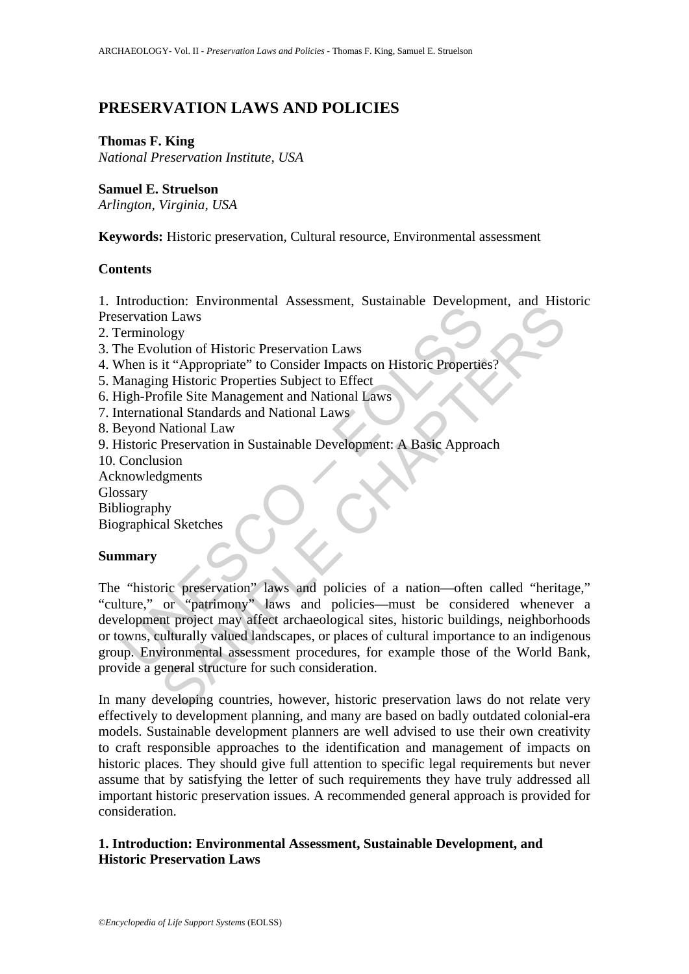# **PRESERVATION LAWS AND POLICIES**

# **Thomas F. King**

*National Preservation Institute, USA* 

# **Samuel E. Struelson**

*Arlington, Virginia, USA* 

**Keywords:** Historic preservation, Cultural resource, Environmental assessment

# **Contents**

1. Introduction: Environmental Assessment, Sustainable Development, and Historic Preservation Laws

- 2. Terminology
- 3. The Evolution of Historic Preservation Laws
- 4. When is it "Appropriate" to Consider Impacts on Historic Properties?
- 5. Managing Historic Properties Subject to Effect
- 6. High-Profile Site Management and National Laws
- 7. International Standards and National Laws
- 8. Beyond National Law
- 9. Historic Preservation in Sustainable Development: A Basic Approach
- 10. Conclusion
- **Acknowledgments**
- **Glossary**
- Bibliography
- Biographical Sketches

# **Summary**

Entratation. Entrainmental assessment, Bastamache Beverly and<br>the Evolution of Historic Preservation Laws<br>
lemanging Historic Properties Subject to Effect<br>
danaging Historic Properties Subject to Effect<br>
igh-Profile Site M The Theorem I Environmental Assessment, Sustainable Development, and This<br>logy<br>lution of Historic Preservation Laws<br>it "Appropriate" to Consider Impacts on Historic Properties?<br>The Site Management and National Laws<br>Preserv The "historic preservation" laws and policies of a nation—often called "heritage," "culture," or "patrimony" laws and policies—must be considered whenever a development project may affect archaeological sites, historic buildings, neighborhoods or towns, culturally valued landscapes, or places of cultural importance to an indigenous group. Environmental assessment procedures, for example those of the World Bank, provide a general structure for such consideration.

In many developing countries, however, historic preservation laws do not relate very effectively to development planning, and many are based on badly outdated colonial-era models. Sustainable development planners are well advised to use their own creativity to craft responsible approaches to the identification and management of impacts on historic places. They should give full attention to specific legal requirements but never assume that by satisfying the letter of such requirements they have truly addressed all important historic preservation issues. A recommended general approach is provided for consideration.

# **1. Introduction: Environmental Assessment, Sustainable Development, and Historic Preservation Laws**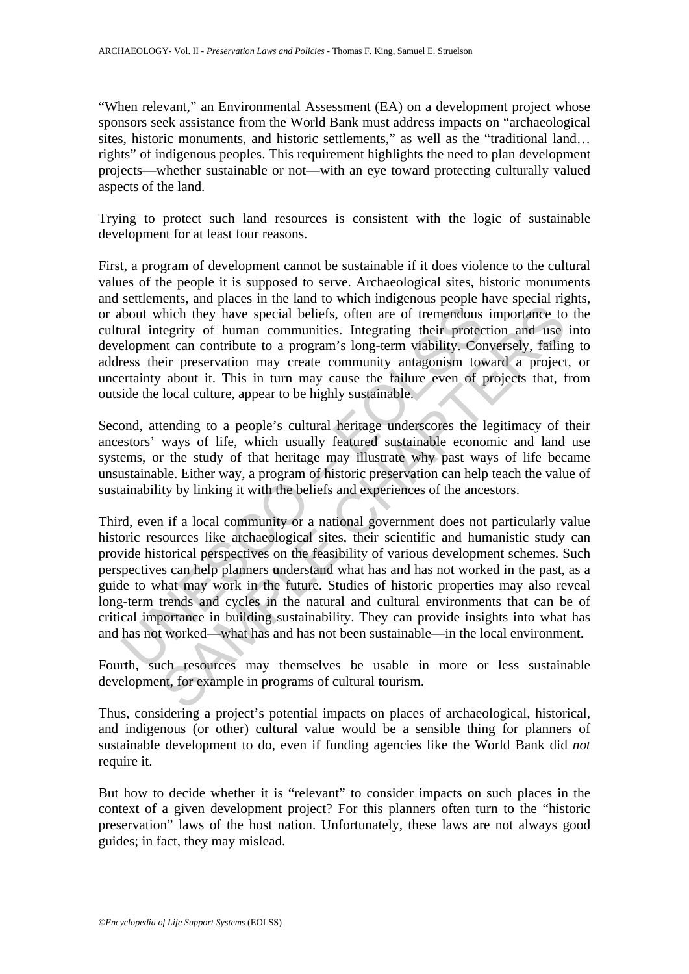"When relevant," an Environmental Assessment (EA) on a development project whose sponsors seek assistance from the World Bank must address impacts on "archaeological sites, historic monuments, and historic settlements," as well as the "traditional land... rights" of indigenous peoples. This requirement highlights the need to plan development projects—whether sustainable or not—with an eye toward protecting culturally valued aspects of the land.

Trying to protect such land resources is consistent with the logic of sustainable development for at least four reasons.

First, a program of development cannot be sustainable if it does violence to the cultural values of the people it is supposed to serve. Archaeological sites, historic monuments and settlements, and places in the land to which indigenous people have special rights, or about which they have special beliefs, often are of tremendous importance to the cultural integrity of human communities. Integrating their protection and use into development can contribute to a program's long-term viability. Conversely, failing to address their preservation may create community antagonism toward a project, or uncertainty about it. This in turn may cause the failure even of projects that, from outside the local culture, appear to be highly sustainable.

Second, attending to a people's cultural heritage underscores the legitimacy of their ancestors' ways of life, which usually featured sustainable economic and land use systems, or the study of that heritage may illustrate why past ways of life became unsustainable. Either way, a program of historic preservation can help teach the value of sustainability by linking it with the beliefs and experiences of the ancestors.

bout which they have special beliefs, often are of tremendous<br>ural integrity of human communities. Integrating their protec-<br>elopment can contribute to a program's long-term viability. Coress their preservation may create Their team contribute to a program's longitum and cultural evolution.<br>
The resources the results of the more integrating their protection and use<br>
the rean contribute to a program's long-term viability. Conversely, failing Third, even if a local community or a national government does not particularly value historic resources like archaeological sites, their scientific and humanistic study can provide historical perspectives on the feasibility of various development schemes. Such perspectives can help planners understand what has and has not worked in the past, as a guide to what may work in the future. Studies of historic properties may also reveal long-term trends and cycles in the natural and cultural environments that can be of critical importance in building sustainability. They can provide insights into what has and has not worked—what has and has not been sustainable—in the local environment.

Fourth, such resources may themselves be usable in more or less sustainable development, for example in programs of cultural tourism.

Thus, considering a project's potential impacts on places of archaeological, historical, and indigenous (or other) cultural value would be a sensible thing for planners of sustainable development to do, even if funding agencies like the World Bank did *not* require it.

But how to decide whether it is "relevant" to consider impacts on such places in the context of a given development project? For this planners often turn to the "historic preservation" laws of the host nation. Unfortunately, these laws are not always good guides; in fact, they may mislead.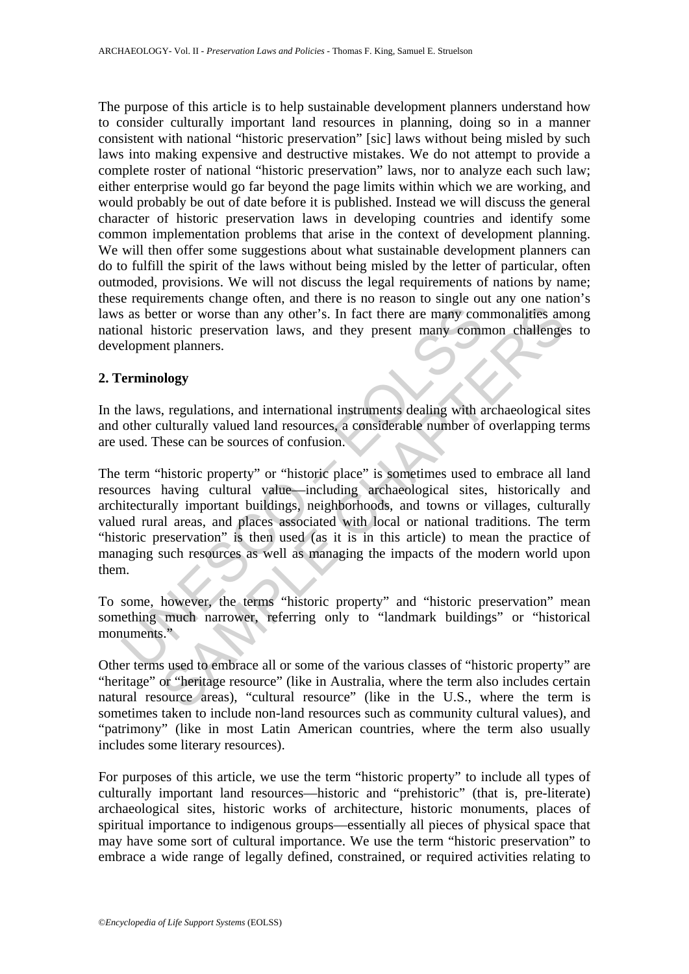The purpose of this article is to help sustainable development planners understand how to consider culturally important land resources in planning, doing so in a manner consistent with national "historic preservation" [sic] laws without being misled by such laws into making expensive and destructive mistakes. We do not attempt to provide a complete roster of national "historic preservation" laws, nor to analyze each such law; either enterprise would go far beyond the page limits within which we are working, and would probably be out of date before it is published. Instead we will discuss the general character of historic preservation laws in developing countries and identify some common implementation problems that arise in the context of development planning. We will then offer some suggestions about what sustainable development planners can do to fulfill the spirit of the laws without being misled by the letter of particular, often outmoded, provisions. We will not discuss the legal requirements of nations by name; these requirements change often, and there is no reason to single out any one nation's laws as better or worse than any other's. In fact there are many commonalities among national historic preservation laws, and they present many common challenges to development planners.

# **2. Terminology**

In the laws, regulations, and international instruments dealing with archaeological sites and other culturally valued land resources, a considerable number of overlapping terms are used. These can be sources of confusion.

Solution and the same of the same of the same of the same of the same of the same of the same of the same of the same of the same of the same of the same of the same of the same of the culturally valued land resources, a c ther or worse than any other's. In fact there are many commonalities ant<br>ter or worse than any other's. In fact there are many commonalities ant<br>sistoric preservation laws, and they present many common challenge<br>at planner The term "historic property" or "historic place" is sometimes used to embrace all land resources having cultural value—including archaeological sites, historically and architecturally important buildings, neighborhoods, and towns or villages, culturally valued rural areas, and places associated with local or national traditions. The term "historic preservation" is then used (as it is in this article) to mean the practice of managing such resources as well as managing the impacts of the modern world upon them.

To some, however, the terms "historic property" and "historic preservation" mean something much narrower, referring only to "landmark buildings" or "historical monuments."

Other terms used to embrace all or some of the various classes of "historic property" are "heritage" or "heritage resource" (like in Australia, where the term also includes certain natural resource areas), "cultural resource" (like in the U.S., where the term is sometimes taken to include non-land resources such as community cultural values), and "patrimony" (like in most Latin American countries, where the term also usually includes some literary resources).

For purposes of this article, we use the term "historic property" to include all types of culturally important land resources—historic and "prehistoric" (that is, pre-literate) archaeological sites, historic works of architecture, historic monuments, places of spiritual importance to indigenous groups—essentially all pieces of physical space that may have some sort of cultural importance. We use the term "historic preservation" to embrace a wide range of legally defined, constrained, or required activities relating to